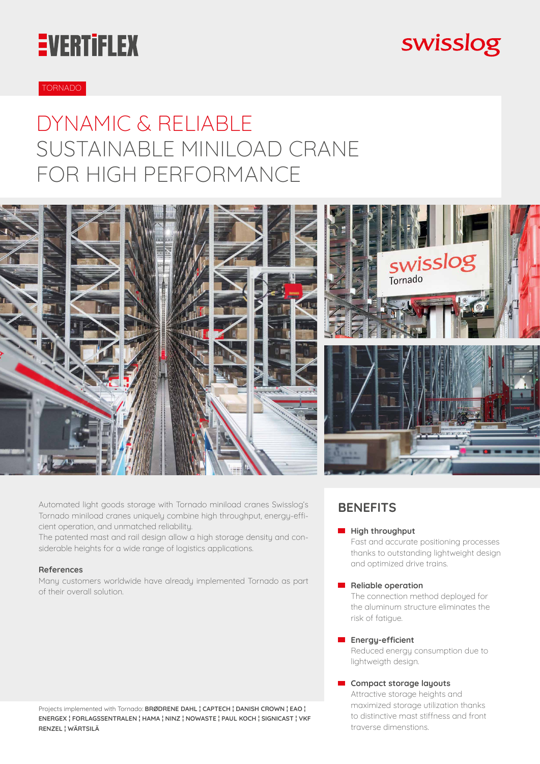# **EVERTIFLEX**

## swisslog

#### TORNADO

### DYNAMIC & RELIABLE SUSTAINABLE MINILOAD CRANE FOR HIGH PERFORMANCE



Automated light goods storage with Tornado miniload cranes Swisslog's Tornado miniload cranes uniquely combine high throughput, energy-efficient operation, and unmatched reliability.

The patented mast and rail design allow a high storage density and considerable heights for a wide range of logistics applications.

#### **References**

Many customers worldwide have already implemented Tornado as part of their overall solution.

Projects implemented with Tornado: **BRØDRENE DAHL ¦ CAPTECH ¦ DANISH CROWN ¦ EAO ¦ ENERGEX ¦ FORLAGSSENTRALEN ¦ HAMA ¦ NINZ ¦ NOWASTE ¦ PAUL KOCH ¦ SIGNICAST ¦ VKF RENZEL ¦ WÄRTSILÄ**

### **BENEFITS**

#### **High throughput**

Fast and accurate positioning processes thanks to outstanding lightweight design and optimized drive trains.

#### **Reliable operation**

The connection method deployed for the aluminum structure eliminates the risk of fatigue.

#### **Energy-efficient**

Reduced energy consumption due to lightweigth design.

#### **Compact storage layouts**

Attractive storage heights and maximized storage utilization thanks to distinctive mast stiffness and front traverse dimenstions.